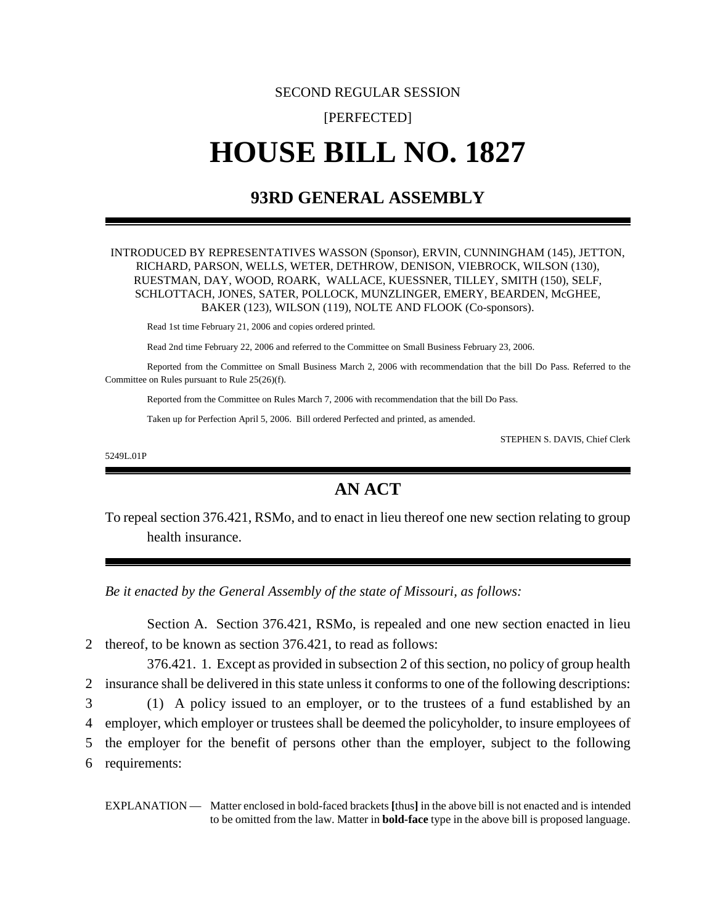# SECOND REGULAR SESSION

## [PERFECTED]

# **HOUSE BILL NO. 1827**

# **93RD GENERAL ASSEMBLY**

#### INTRODUCED BY REPRESENTATIVES WASSON (Sponsor), ERVIN, CUNNINGHAM (145), JETTON, RICHARD, PARSON, WELLS, WETER, DETHROW, DENISON, VIEBROCK, WILSON (130), RUESTMAN, DAY, WOOD, ROARK, WALLACE, KUESSNER, TILLEY, SMITH (150), SELF, SCHLOTTACH, JONES, SATER, POLLOCK, MUNZLINGER, EMERY, BEARDEN, McGHEE, BAKER (123), WILSON (119), NOLTE AND FLOOK (Co-sponsors).

Read 1st time February 21, 2006 and copies ordered printed.

Read 2nd time February 22, 2006 and referred to the Committee on Small Business February 23, 2006.

Reported from the Committee on Small Business March 2, 2006 with recommendation that the bill Do Pass. Referred to the Committee on Rules pursuant to Rule 25(26)(f).

Reported from the Committee on Rules March 7, 2006 with recommendation that the bill Do Pass.

Taken up for Perfection April 5, 2006. Bill ordered Perfected and printed, as amended.

STEPHEN S. DAVIS, Chief Clerk

5249L.01P

# **AN ACT**

To repeal section 376.421, RSMo, and to enact in lieu thereof one new section relating to group health insurance.

*Be it enacted by the General Assembly of the state of Missouri, as follows:*

Section A. Section 376.421, RSMo, is repealed and one new section enacted in lieu 2 thereof, to be known as section 376.421, to read as follows:

376.421. 1. Except as provided in subsection 2 of this section, no policy of group health 2 insurance shall be delivered in this state unless it conforms to one of the following descriptions:

3 (1) A policy issued to an employer, or to the trustees of a fund established by an

4 employer, which employer or trustees shall be deemed the policyholder, to insure employees of

5 the employer for the benefit of persons other than the employer, subject to the following

6 requirements:

EXPLANATION — Matter enclosed in bold-faced brackets **[**thus**]** in the above bill is not enacted and is intended to be omitted from the law. Matter in **bold-face** type in the above bill is proposed language.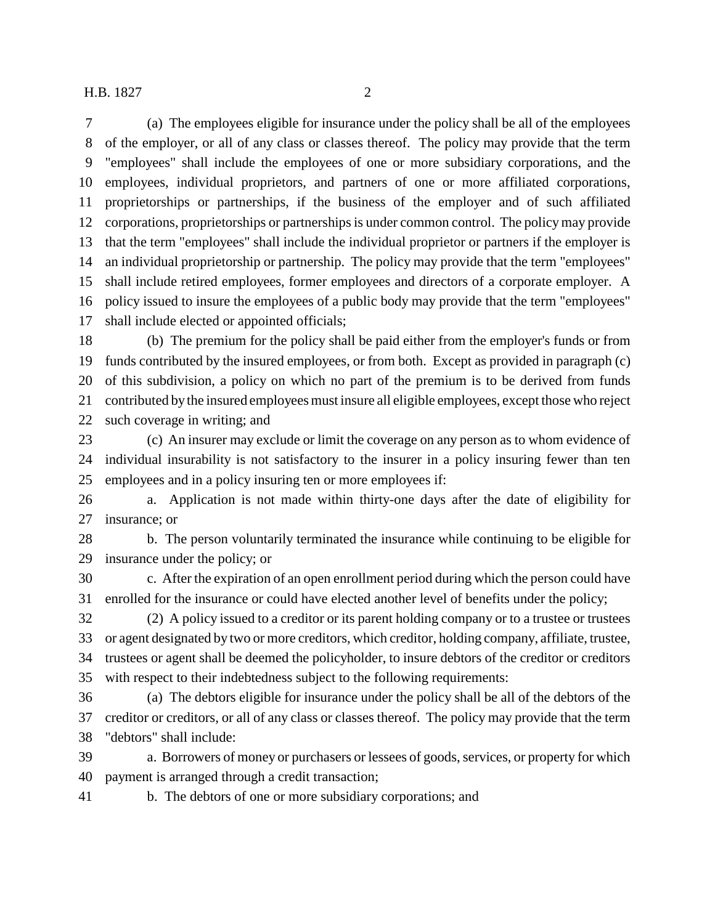(a) The employees eligible for insurance under the policy shall be all of the employees of the employer, or all of any class or classes thereof. The policy may provide that the term "employees" shall include the employees of one or more subsidiary corporations, and the employees, individual proprietors, and partners of one or more affiliated corporations, proprietorships or partnerships, if the business of the employer and of such affiliated corporations, proprietorships or partnerships is under common control. The policy may provide that the term "employees" shall include the individual proprietor or partners if the employer is an individual proprietorship or partnership. The policy may provide that the term "employees" shall include retired employees, former employees and directors of a corporate employer. A policy issued to insure the employees of a public body may provide that the term "employees" shall include elected or appointed officials;

 (b) The premium for the policy shall be paid either from the employer's funds or from funds contributed by the insured employees, or from both. Except as provided in paragraph (c) of this subdivision, a policy on which no part of the premium is to be derived from funds contributed by the insured employees must insure all eligible employees, except those who reject such coverage in writing; and

 (c) An insurer may exclude or limit the coverage on any person as to whom evidence of individual insurability is not satisfactory to the insurer in a policy insuring fewer than ten employees and in a policy insuring ten or more employees if:

 a. Application is not made within thirty-one days after the date of eligibility for insurance; or

 b. The person voluntarily terminated the insurance while continuing to be eligible for insurance under the policy; or

 c. After the expiration of an open enrollment period during which the person could have enrolled for the insurance or could have elected another level of benefits under the policy;

 (2) A policy issued to a creditor or its parent holding company or to a trustee or trustees or agent designated by two or more creditors, which creditor, holding company, affiliate, trustee, trustees or agent shall be deemed the policyholder, to insure debtors of the creditor or creditors with respect to their indebtedness subject to the following requirements:

 (a) The debtors eligible for insurance under the policy shall be all of the debtors of the creditor or creditors, or all of any class or classes thereof. The policy may provide that the term "debtors" shall include:

 a. Borrowers of money or purchasers or lessees of goods, services, or property for which payment is arranged through a credit transaction;

b. The debtors of one or more subsidiary corporations; and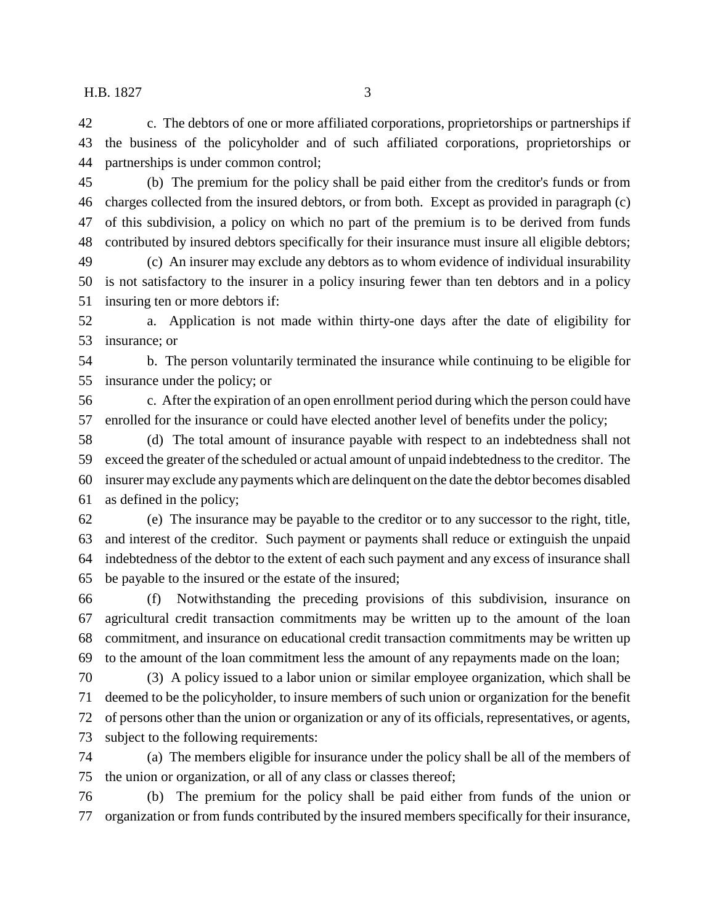c. The debtors of one or more affiliated corporations, proprietorships or partnerships if the business of the policyholder and of such affiliated corporations, proprietorships or partnerships is under common control;

 (b) The premium for the policy shall be paid either from the creditor's funds or from charges collected from the insured debtors, or from both. Except as provided in paragraph (c) of this subdivision, a policy on which no part of the premium is to be derived from funds contributed by insured debtors specifically for their insurance must insure all eligible debtors;

 (c) An insurer may exclude any debtors as to whom evidence of individual insurability is not satisfactory to the insurer in a policy insuring fewer than ten debtors and in a policy insuring ten or more debtors if:

 a. Application is not made within thirty-one days after the date of eligibility for insurance; or

 b. The person voluntarily terminated the insurance while continuing to be eligible for insurance under the policy; or

 c. After the expiration of an open enrollment period during which the person could have enrolled for the insurance or could have elected another level of benefits under the policy;

 (d) The total amount of insurance payable with respect to an indebtedness shall not exceed the greater of the scheduled or actual amount of unpaid indebtedness to the creditor. The insurer may exclude any payments which are delinquent on the date the debtor becomes disabled as defined in the policy;

 (e) The insurance may be payable to the creditor or to any successor to the right, title, and interest of the creditor. Such payment or payments shall reduce or extinguish the unpaid indebtedness of the debtor to the extent of each such payment and any excess of insurance shall be payable to the insured or the estate of the insured;

 (f) Notwithstanding the preceding provisions of this subdivision, insurance on agricultural credit transaction commitments may be written up to the amount of the loan commitment, and insurance on educational credit transaction commitments may be written up to the amount of the loan commitment less the amount of any repayments made on the loan;

 (3) A policy issued to a labor union or similar employee organization, which shall be deemed to be the policyholder, to insure members of such union or organization for the benefit of persons other than the union or organization or any of its officials, representatives, or agents, subject to the following requirements:

 (a) The members eligible for insurance under the policy shall be all of the members of the union or organization, or all of any class or classes thereof;

 (b) The premium for the policy shall be paid either from funds of the union or organization or from funds contributed by the insured members specifically for their insurance,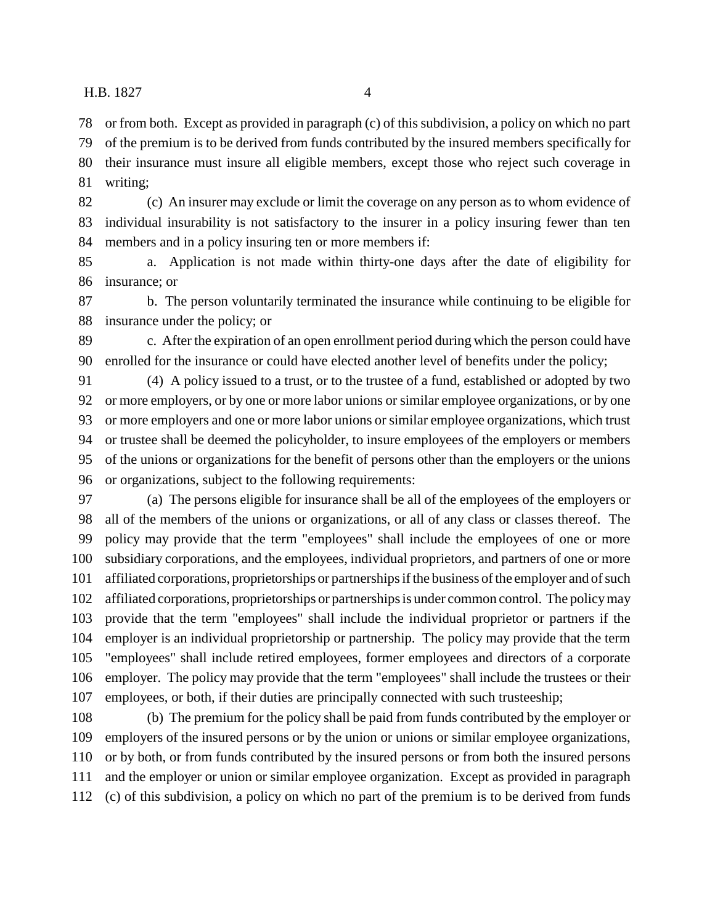or from both. Except as provided in paragraph (c) of this subdivision, a policy on which no part of the premium is to be derived from funds contributed by the insured members specifically for

their insurance must insure all eligible members, except those who reject such coverage in

writing;

 (c) An insurer may exclude or limit the coverage on any person as to whom evidence of individual insurability is not satisfactory to the insurer in a policy insuring fewer than ten members and in a policy insuring ten or more members if:

 a. Application is not made within thirty-one days after the date of eligibility for insurance; or

 b. The person voluntarily terminated the insurance while continuing to be eligible for insurance under the policy; or

 c. After the expiration of an open enrollment period during which the person could have enrolled for the insurance or could have elected another level of benefits under the policy;

 (4) A policy issued to a trust, or to the trustee of a fund, established or adopted by two or more employers, or by one or more labor unions or similar employee organizations, or by one or more employers and one or more labor unions or similar employee organizations, which trust or trustee shall be deemed the policyholder, to insure employees of the employers or members of the unions or organizations for the benefit of persons other than the employers or the unions or organizations, subject to the following requirements:

 (a) The persons eligible for insurance shall be all of the employees of the employers or 98 all of the members of the unions or organizations, or all of any class or classes thereof. The policy may provide that the term "employees" shall include the employees of one or more subsidiary corporations, and the employees, individual proprietors, and partners of one or more affiliated corporations, proprietorships or partnerships if the business of the employer and of such affiliated corporations, proprietorships or partnerships is under common control. The policy may provide that the term "employees" shall include the individual proprietor or partners if the employer is an individual proprietorship or partnership. The policy may provide that the term "employees" shall include retired employees, former employees and directors of a corporate employer. The policy may provide that the term "employees" shall include the trustees or their employees, or both, if their duties are principally connected with such trusteeship;

 (b) The premium for the policy shall be paid from funds contributed by the employer or employers of the insured persons or by the union or unions or similar employee organizations, or by both, or from funds contributed by the insured persons or from both the insured persons and the employer or union or similar employee organization. Except as provided in paragraph (c) of this subdivision, a policy on which no part of the premium is to be derived from funds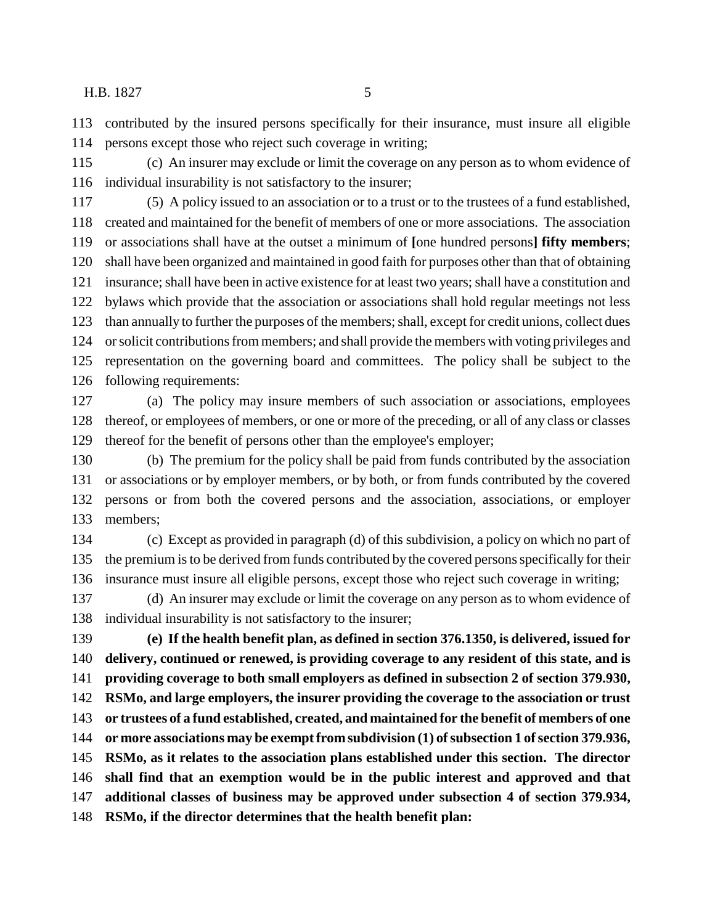contributed by the insured persons specifically for their insurance, must insure all eligible persons except those who reject such coverage in writing;

 (c) An insurer may exclude or limit the coverage on any person as to whom evidence of individual insurability is not satisfactory to the insurer;

 (5) A policy issued to an association or to a trust or to the trustees of a fund established, created and maintained for the benefit of members of one or more associations. The association or associations shall have at the outset a minimum of **[**one hundred persons**] fifty members**; shall have been organized and maintained in good faith for purposes other than that of obtaining insurance; shall have been in active existence for at least two years; shall have a constitution and bylaws which provide that the association or associations shall hold regular meetings not less than annually to further the purposes of the members; shall, except for credit unions, collect dues or solicit contributions from members; and shall provide the members with voting privileges and representation on the governing board and committees. The policy shall be subject to the following requirements:

 (a) The policy may insure members of such association or associations, employees thereof, or employees of members, or one or more of the preceding, or all of any class or classes thereof for the benefit of persons other than the employee's employer;

 (b) The premium for the policy shall be paid from funds contributed by the association or associations or by employer members, or by both, or from funds contributed by the covered persons or from both the covered persons and the association, associations, or employer members;

 (c) Except as provided in paragraph (d) of this subdivision, a policy on which no part of the premium is to be derived from funds contributed by the covered persons specifically for their insurance must insure all eligible persons, except those who reject such coverage in writing;

 (d) An insurer may exclude or limit the coverage on any person as to whom evidence of individual insurability is not satisfactory to the insurer;

 **(e) If the health benefit plan, as defined in section 376.1350, is delivered, issued for delivery, continued or renewed, is providing coverage to any resident of this state, and is providing coverage to both small employers as defined in subsection 2 of section 379.930, RSMo, and large employers, the insurer providing the coverage to the association or trust or trustees of a fund established, created, and maintained for the benefit of members of one or more associations may be exempt from subdivision (1) of subsection 1 of section 379.936, RSMo, as it relates to the association plans established under this section. The director shall find that an exemption would be in the public interest and approved and that additional classes of business may be approved under subsection 4 of section 379.934, RSMo, if the director determines that the health benefit plan:**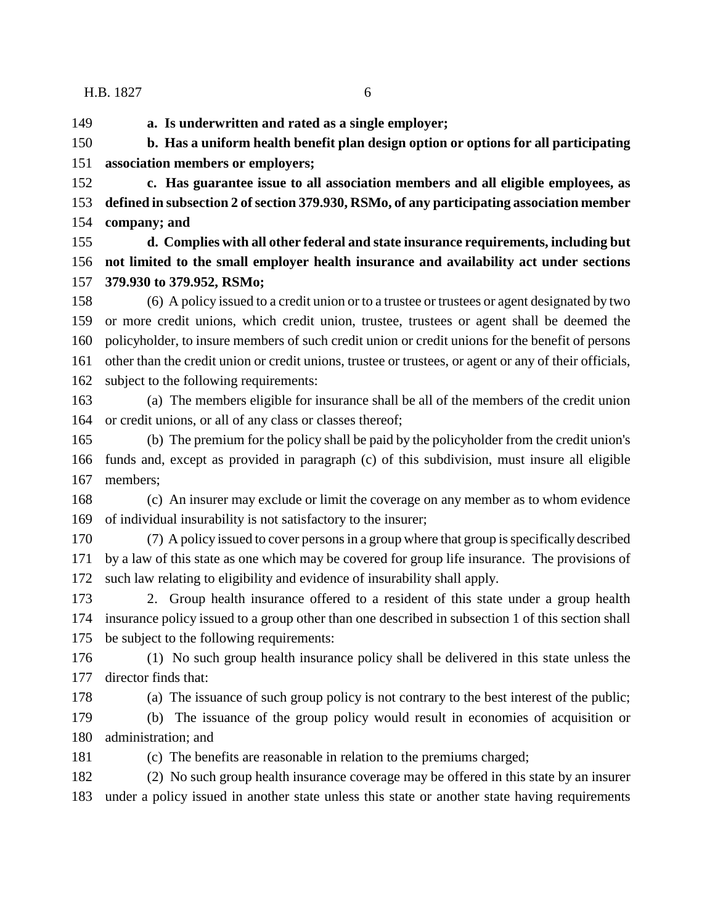**a. Is underwritten and rated as a single employer;**

 **b. Has a uniform health benefit plan design option or options for all participating association members or employers;**

 **c. Has guarantee issue to all association members and all eligible employees, as defined in subsection 2 of section 379.930, RSMo, of any participating association member company; and**

 **d. Complies with all other federal and state insurance requirements, including but not limited to the small employer health insurance and availability act under sections 379.930 to 379.952, RSMo;**

 (6) A policy issued to a credit union or to a trustee or trustees or agent designated by two or more credit unions, which credit union, trustee, trustees or agent shall be deemed the policyholder, to insure members of such credit union or credit unions for the benefit of persons other than the credit union or credit unions, trustee or trustees, or agent or any of their officials, subject to the following requirements:

 (a) The members eligible for insurance shall be all of the members of the credit union 164 or credit unions, or all of any class or classes thereof;

 (b) The premium for the policy shall be paid by the policyholder from the credit union's funds and, except as provided in paragraph (c) of this subdivision, must insure all eligible members;

 (c) An insurer may exclude or limit the coverage on any member as to whom evidence of individual insurability is not satisfactory to the insurer;

 (7) A policy issued to cover persons in a group where that group is specifically described by a law of this state as one which may be covered for group life insurance. The provisions of such law relating to eligibility and evidence of insurability shall apply.

 2. Group health insurance offered to a resident of this state under a group health insurance policy issued to a group other than one described in subsection 1 of this section shall be subject to the following requirements:

 (1) No such group health insurance policy shall be delivered in this state unless the director finds that:

(a) The issuance of such group policy is not contrary to the best interest of the public;

 (b) The issuance of the group policy would result in economies of acquisition or administration; and

(c) The benefits are reasonable in relation to the premiums charged;

 (2) No such group health insurance coverage may be offered in this state by an insurer under a policy issued in another state unless this state or another state having requirements